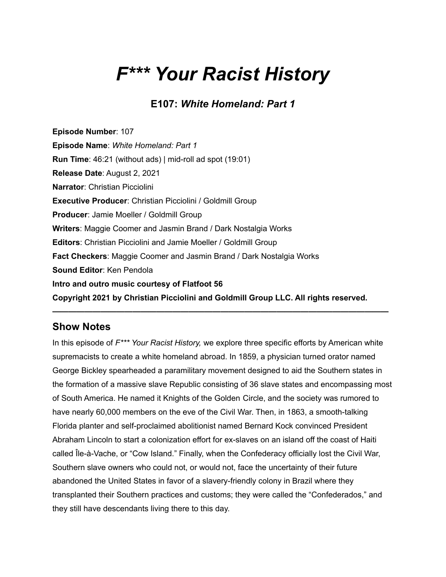# *F\*\*\* Your Racist History*

### **E107:** *White Homeland: Part 1*

**Episode Number**: 107 **Episode Name**: *White Homeland: Part 1* **Run Time**: 46:21 (without ads) | mid-roll ad spot (19:01) **Release Date**: August 2, 2021 **Narrator**: Christian Picciolini **Executive Producer**: Christian Picciolini / Goldmill Group **Producer**: Jamie Moeller / Goldmill Group **Writers**: Maggie Coomer and Jasmin Brand / Dark Nostalgia Works **Editors**: Christian Picciolini and Jamie Moeller / Goldmill Group **Fact Checkers**: Maggie Coomer and Jasmin Brand / Dark Nostalgia Works **Sound Editor**: Ken Pendola **Intro and outro music courtesy of Flatfoot 56 Copyright 2021 by Christian Picciolini and Goldmill Group LLC. All rights reserved.**

#### **Show Notes**

In this episode of *F\*\*\* Your Racist History,* we explore three specific efforts by American white supremacists to create a white homeland abroad. In 1859, a physician turned orator named George Bickley spearheaded a paramilitary movement designed to aid the Southern states in the formation of a massive slave Republic consisting of 36 slave states and encompassing most of South America. He named it Knights of the Golden Circle, and the society was rumored to have nearly 60,000 members on the eve of the Civil War. Then, in 1863, a smooth-talking Florida planter and self-proclaimed abolitionist named Bernard Kock convinced President Abraham Lincoln to start a colonization effort for ex-slaves on an island off the coast of Haiti called Île-à-Vache, or "Cow Island." Finally, when the Confederacy officially lost the Civil War, Southern slave owners who could not, or would not, face the uncertainty of their future abandoned the United States in favor of a slavery-friendly colony in Brazil where they transplanted their Southern practices and customs; they were called the "Confederados," and they still have descendants living there to this day.

**——————————————————————————————————————————**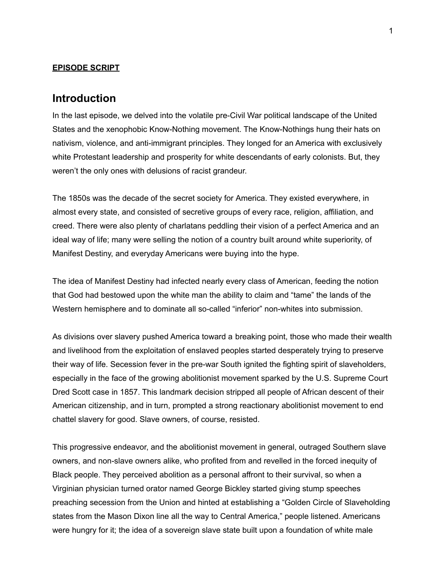#### **EPISODE SCRIPT**

#### **Introduction**

In the last episode, we delved into the volatile pre-Civil War political landscape of the United States and the xenophobic Know-Nothing movement. The Know-Nothings hung their hats on nativism, violence, and anti-immigrant principles. They longed for an America with exclusively white Protestant leadership and prosperity for white descendants of early colonists. But, they weren't the only ones with delusions of racist grandeur.

The 1850s was the decade of the secret society for America. They existed everywhere, in almost every state, and consisted of secretive groups of every race, religion, affiliation, and creed. There were also plenty of charlatans peddling their vision of a perfect America and an ideal way of life; many were selling the notion of a country built around white superiority, of Manifest Destiny, and everyday Americans were buying into the hype.

The idea of Manifest Destiny had infected nearly every class of American, feeding the notion that God had bestowed upon the white man the ability to claim and "tame" the lands of the Western hemisphere and to dominate all so-called "inferior" non-whites into submission.

As divisions over slavery pushed America toward a breaking point, those who made their wealth and livelihood from the exploitation of enslaved peoples started desperately trying to preserve their way of life. Secession fever in the pre-war South ignited the fighting spirit of slaveholders, especially in the face of the growing abolitionist movement sparked by the U.S. Supreme Court Dred Scott case in 1857. This landmark decision stripped all people of African descent of their American citizenship, and in turn, prompted a strong reactionary abolitionist movement to end chattel slavery for good. Slave owners, of course, resisted.

This progressive endeavor, and the abolitionist movement in general, outraged Southern slave owners, and non-slave owners alike, who profited from and revelled in the forced inequity of Black people. They perceived abolition as a personal affront to their survival, so when a Virginian physician turned orator named George Bickley started giving stump speeches preaching secession from the Union and hinted at establishing a "Golden Circle of Slaveholding states from the Mason Dixon line all the way to Central America," people listened. Americans were hungry for it; the idea of a sovereign slave state built upon a foundation of white male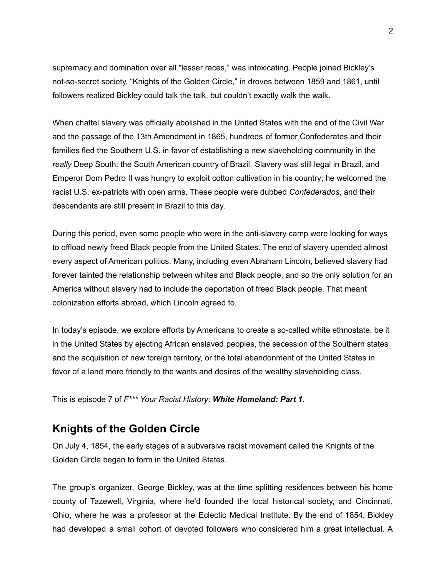supremacy and domination over all "lesser races," was intoxicating. People joined Bickley's not-so-secret society, "Knights of the Golden Circle," in droves between 1859 and 1861, until followers realized Bickley could talk the talk, but couldn't exactly walk the walk.

When chattel slavery was officially abolished in the United States with the end of the Civil War and the passage of the 13th Amendment in 1865, hundreds of former Confederates and their families fled the Southern U.S. in favor of establishing a new slaveholding community in the *really* Deep South: the South American country of Brazil. Slavery was still legal in Brazil, and Emperor Dom Pedro II was hungry to exploit cotton cultivation in his country; he welcomed the racist U.S. ex-patriots with open arms. These people were dubbed *Confederados*, and their descendants are still present in Brazil to this day.

During this period, even some people who were in the anti-slavery camp were looking for ways to offload newly freed Black people from the United States. The end of slavery upended almost every aspect of American politics. Many, including even Abraham Lincoln, believed slavery had forever tainted the relationship between whites and Black people, and so the only solution for an America without slavery had to include the deportation of freed Black people. That meant colonization efforts abroad, which Lincoln agreed to.

In today's episode, we explore efforts by Americans to create a so-called white ethnostate, be it in the United States by ejecting African enslaved peoples, the secession of the Southern states and the acquisition of new foreign territory, or the total abandonment of the United States in favor of a land more friendly to the wants and desires of the wealthy slaveholding class.

This is episode 7 of *F\*\*\* Your Racist History*: *White Homeland: Part 1.*

#### **Knights of the Golden Circle**

On July 4, 1854, the early stages of a subversive racist movement called the Knights of the Golden Circle began to form in the United States.

The group's organizer, George Bickley, was at the time splitting residences between his home county of Tazewell, Virginia, where he'd founded the local historical society, and Cincinnati, Ohio, where he was a professor at the Eclectic Medical Institute. By the end of 1854, Bickley had developed a small cohort of devoted followers who considered him a great intellectual. A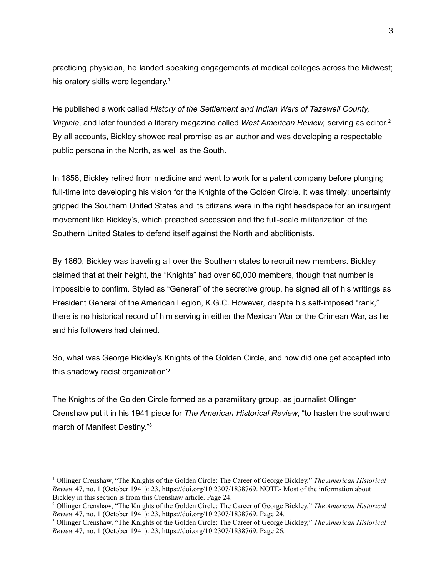practicing physician, he landed speaking engagements at medical colleges across the Midwest; his oratory skills were legendary.<sup>1</sup>

He published a work called *History of the Settlement and Indian Wars of Tazewell County, Virginia*, and later founded a literary magazine called *West American Review,* serving as editor. 2 By all accounts, Bickley showed real promise as an author and was developing a respectable public persona in the North, as well as the South.

In 1858, Bickley retired from medicine and went to work for a patent company before plunging full-time into developing his vision for the Knights of the Golden Circle. It was timely; uncertainty gripped the Southern United States and its citizens were in the right headspace for an insurgent movement like Bickley's, which preached secession and the full-scale militarization of the Southern United States to defend itself against the North and abolitionists.

By 1860, Bickley was traveling all over the Southern states to recruit new members. Bickley claimed that at their height, the "Knights" had over 60,000 members, though that number is impossible to confirm. Styled as "General" of the secretive group, he signed all of his writings as President General of the American Legion, K.G.C. However, despite his self-imposed "rank," there is no historical record of him serving in either the Mexican War or the Crimean War, as he and his followers had claimed.

So, what was George Bickley's Knights of the Golden Circle, and how did one get accepted into this shadowy racist organization?

The Knights of the Golden Circle formed as a paramilitary group, as journalist Ollinger Crenshaw put it in his 1941 piece for *The American Historical Review*, "to hasten the southward march of Manifest Destiny."<sup>3</sup>

<sup>1</sup> Ollinger Crenshaw, "The Knights of the Golden Circle: The Career of George Bickley," *The American Historical Review* 47, no. 1 (October 1941): 23, https://doi.org[/10.2307/1838769.](https://www.mybib.com/10.2307/1838769) NOTE- Most of the information about Bickley in this section is from this Crenshaw article. Page 24.

<sup>2</sup> Ollinger Crenshaw, "The Knights of the Golden Circle: The Career of George Bickley," *The American Historical Review* 47, no. 1 (October 1941): 23, https://doi.org[/10.2307/1838769.](https://www.mybib.com/10.2307/1838769) Page 24.

<sup>3</sup> Ollinger Crenshaw, "The Knights of the Golden Circle: The Career of George Bickley," *The American Historical Review* 47, no. 1 (October 1941): 23, https://doi.org[/10.2307/1838769.](https://www.mybib.com/10.2307/1838769) Page 26.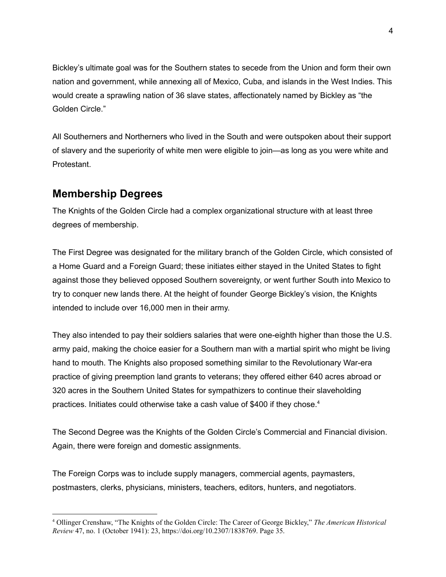Bickley's ultimate goal was for the Southern states to secede from the Union and form their own nation and government, while annexing all of Mexico, Cuba, and islands in the West Indies. This would create a sprawling nation of 36 slave states, affectionately named by Bickley as "the Golden Circle."

All Southerners and Northerners who lived in the South and were outspoken about their support of slavery and the superiority of white men were eligible to join—as long as you were white and Protestant.

### **Membership Degrees**

The Knights of the Golden Circle had a complex organizational structure with at least three degrees of membership.

The First Degree was designated for the military branch of the Golden Circle, which consisted of a Home Guard and a Foreign Guard; these initiates either stayed in the United States to fight against those they believed opposed Southern sovereignty, or went further South into Mexico to try to conquer new lands there. At the height of founder George Bickley's vision, the Knights intended to include over 16,000 men in their army.

They also intended to pay their soldiers salaries that were one-eighth higher than those the U.S. army paid, making the choice easier for a Southern man with a martial spirit who might be living hand to mouth. The Knights also proposed something similar to the Revolutionary War-era practice of giving preemption land grants to veterans; they offered either 640 acres abroad or 320 acres in the Southern United States for sympathizers to continue their slaveholding practices. Initiates could otherwise take a cash value of \$400 if they chose.<sup>4</sup>

The Second Degree was the Knights of the Golden Circle's Commercial and Financial division. Again, there were foreign and domestic assignments.

The Foreign Corps was to include supply managers, commercial agents, paymasters, postmasters, clerks, physicians, ministers, teachers, editors, hunters, and negotiators.

<sup>4</sup> Ollinger Crenshaw, "The Knights of the Golden Circle: The Career of George Bickley," *The American Historical Review* 47, no. 1 (October 1941): 23, https://doi.org[/10.2307/1838769.](https://www.mybib.com/10.2307/1838769) Page 35.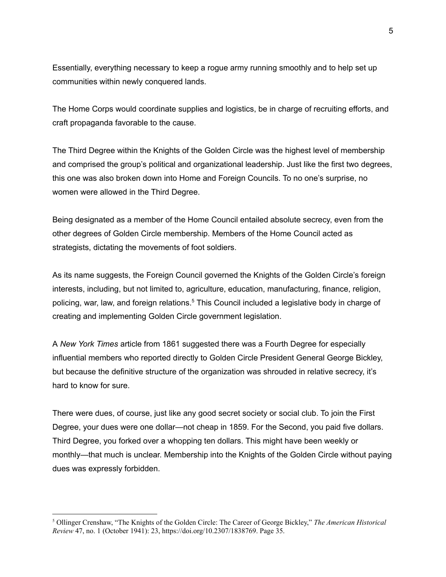Essentially, everything necessary to keep a rogue army running smoothly and to help set up communities within newly conquered lands.

The Home Corps would coordinate supplies and logistics, be in charge of recruiting efforts, and craft propaganda favorable to the cause.

The Third Degree within the Knights of the Golden Circle was the highest level of membership and comprised the group's political and organizational leadership. Just like the first two degrees, this one was also broken down into Home and Foreign Councils. To no one's surprise, no women were allowed in the Third Degree.

Being designated as a member of the Home Council entailed absolute secrecy, even from the other degrees of Golden Circle membership. Members of the Home Council acted as strategists, dictating the movements of foot soldiers.

As its name suggests, the Foreign Council governed the Knights of the Golden Circle's foreign interests, including, but not limited to, agriculture, education, manufacturing, finance, religion, policing, war, law, and foreign relations.<sup>5</sup> This Council included a legislative body in charge of creating and implementing Golden Circle government legislation.

A *New York Times* article from 1861 suggested there was a Fourth Degree for especially influential members who reported directly to Golden Circle President General George Bickley, but because the definitive structure of the organization was shrouded in relative secrecy, it's hard to know for sure.

There were dues, of course, just like any good secret society or social club. To join the First Degree, your dues were one dollar—not cheap in 1859. For the Second, you paid five dollars. Third Degree, you forked over a whopping ten dollars. This might have been weekly or monthly—that much is unclear. Membership into the Knights of the Golden Circle without paying dues was expressly forbidden.

<sup>5</sup> Ollinger Crenshaw, "The Knights of the Golden Circle: The Career of George Bickley," *The American Historical Review* 47, no. 1 (October 1941): 23, https://doi.org[/10.2307/1838769.](https://www.mybib.com/10.2307/1838769) Page 35.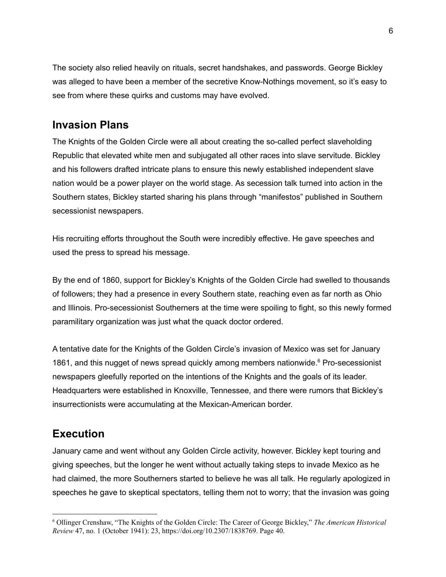The society also relied heavily on rituals, secret handshakes, and passwords. George Bickley was alleged to have been a member of the secretive Know-Nothings movement, so it's easy to see from where these quirks and customs may have evolved.

## **Invasion Plans**

The Knights of the Golden Circle were all about creating the so-called perfect slaveholding Republic that elevated white men and subjugated all other races into slave servitude. Bickley and his followers drafted intricate plans to ensure this newly established independent slave nation would be a power player on the world stage. As secession talk turned into action in the Southern states, Bickley started sharing his plans through "manifestos" published in Southern secessionist newspapers.

His recruiting efforts throughout the South were incredibly effective. He gave speeches and used the press to spread his message.

By the end of 1860, support for Bickley's Knights of the Golden Circle had swelled to thousands of followers; they had a presence in every Southern state, reaching even as far north as Ohio and Illinois. Pro-secessionist Southerners at the time were spoiling to fight, so this newly formed paramilitary organization was just what the quack doctor ordered.

A tentative date for the Knights of the Golden Circle's invasion of Mexico was set for January 1861, and this nugget of news spread quickly among members nationwide. <sup>6</sup> Pro-secessionist newspapers gleefully reported on the intentions of the Knights and the goals of its leader. Headquarters were established in Knoxville, Tennessee, and there were rumors that Bickley's insurrectionists were accumulating at the Mexican-American border.

# **Execution**

January came and went without any Golden Circle activity, however. Bickley kept touring and giving speeches, but the longer he went without actually taking steps to invade Mexico as he had claimed, the more Southerners started to believe he was all talk. He regularly apologized in speeches he gave to skeptical spectators, telling them not to worry; that the invasion was going

<sup>6</sup> Ollinger Crenshaw, "The Knights of the Golden Circle: The Career of George Bickley," *The American Historical Review* 47, no. 1 (October 1941): 23, https://doi.org[/10.2307/1838769.](https://www.mybib.com/10.2307/1838769) Page 40.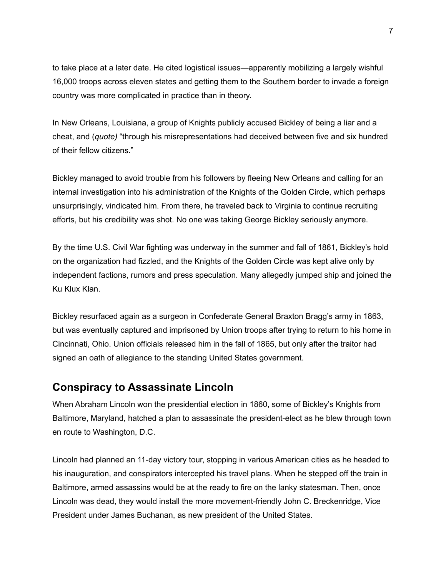to take place at a later date. He cited logistical issues—apparently mobilizing a largely wishful 16,000 troops across eleven states and getting them to the Southern border to invade a foreign country was more complicated in practice than in theory.

In New Orleans, Louisiana, a group of Knights publicly accused Bickley of being a liar and a cheat, and (*quote)* "through his misrepresentations had deceived between five and six hundred of their fellow citizens."

Bickley managed to avoid trouble from his followers by fleeing New Orleans and calling for an internal investigation into his administration of the Knights of the Golden Circle, which perhaps unsurprisingly, vindicated him. From there, he traveled back to Virginia to continue recruiting efforts, but his credibility was shot. No one was taking George Bickley seriously anymore.

By the time U.S. Civil War fighting was underway in the summer and fall of 1861, Bickley's hold on the organization had fizzled, and the Knights of the Golden Circle was kept alive only by independent factions, rumors and press speculation. Many allegedly jumped ship and joined the Ku Klux Klan.

Bickley resurfaced again as a surgeon in Confederate General Braxton Bragg's army in 1863, but was eventually captured and imprisoned by Union troops after trying to return to his home in Cincinnati, Ohio. Union officials released him in the fall of 1865, but only after the traitor had signed an oath of allegiance to the standing United States government.

#### **Conspiracy to Assassinate Lincoln**

When Abraham Lincoln won the presidential election in 1860, some of Bickley's Knights from Baltimore, Maryland, hatched a plan to assassinate the president-elect as he blew through town en route to Washington, D.C.

Lincoln had planned an 11-day victory tour, stopping in various American cities as he headed to his inauguration, and conspirators intercepted his travel plans. When he stepped off the train in Baltimore, armed assassins would be at the ready to fire on the lanky statesman. Then, once Lincoln was dead, they would install the more movement-friendly John C. Breckenridge, Vice President under James Buchanan, as new president of the United States.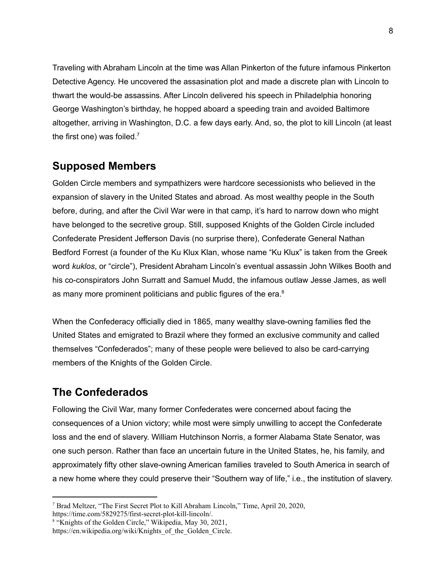Traveling with Abraham Lincoln at the time was Allan Pinkerton of the future infamous Pinkerton Detective Agency. He uncovered the assasination plot and made a discrete plan with Lincoln to thwart the would-be assassins. After Lincoln delivered his speech in Philadelphia honoring George Washington's birthday, he hopped aboard a speeding train and avoided Baltimore altogether, arriving in Washington, D.C. a few days early. And, so, the plot to kill Lincoln (at least the first one) was foiled. $7$ 

## **Supposed Members**

Golden Circle members and sympathizers were hardcore secessionists who believed in the expansion of slavery in the United States and abroad. As most wealthy people in the South before, during, and after the Civil War were in that camp, it's hard to narrow down who might have belonged to the secretive group. Still, supposed Knights of the Golden Circle included Confederate President Jefferson Davis (no surprise there), Confederate General Nathan Bedford Forrest (a founder of the Ku Klux Klan, whose name "Ku Klux" is taken from the Greek word *kuklos*, or "circle"), President Abraham Lincoln's eventual assassin John Wilkes Booth and his co-conspirators John Surratt and Samuel Mudd, the infamous outlaw Jesse James, as well as many more prominent politicians and public figures of the era. $8$ 

When the Confederacy officially died in 1865, many wealthy slave-owning families fled the United States and emigrated to Brazil where they formed an exclusive community and called themselves "Confederados"; many of these people were believed to also be card-carrying members of the Knights of the Golden Circle.

## **The Confederados**

Following the Civil War, many former Confederates were concerned about facing the consequences of a Union victory; while most were simply unwilling to accept the Confederate loss and the end of slavery. William Hutchinson Norris, a former Alabama State Senator, was one such person. Rather than face an uncertain future in the United States, he, his family, and approximately fifty other slave-owning American families traveled to South America in search of a new home where they could preserve their "Southern way of life," i.e., the institution of slavery.

<sup>7</sup> Brad Meltzer, "The First Secret Plot to Kill Abraham Lincoln," Time, April 20, 2020,

[https://time.com/5829275/first-secret-plot-kill-lincoln/.](https://time.com/5829275/first-secret-plot-kill-lincoln/)

<sup>8</sup> "Knights of the Golden Circle," Wikipedia, May 30, 2021,

[https://en.wikipedia.org/wiki/Knights\\_of\\_the\\_Golden\\_Circle](https://en.wikipedia.org/wiki/Knights_of_the_Golden_Circle).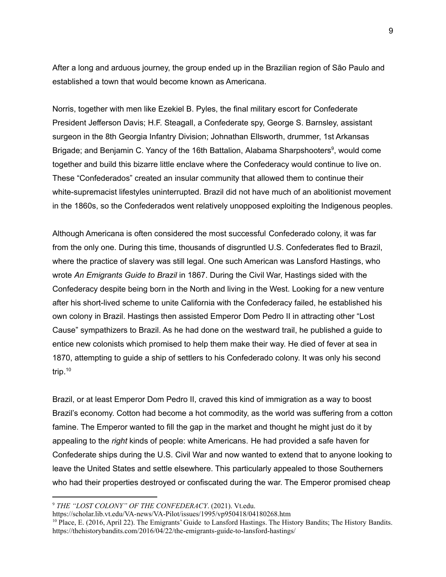After a long and arduous journey, the group ended up in the Brazilian region of São Paulo and established a town that would become known as Americana.

Norris, together with men like Ezekiel B. Pyles, the final military escort for Confederate President Jefferson Davis; H.F. Steagall, a Confederate spy, George S. Barnsley, assistant surgeon in the 8th Georgia Infantry Division; Johnathan Ellsworth, drummer, 1st Arkansas Brigade; and Benjamin C. Yancy of the 16th Battalion, Alabama Sharpshooters<sup>9</sup>, would come together and build this bizarre little enclave where the Confederacy would continue to live on. These "Confederados" created an insular community that allowed them to continue their white-supremacist lifestyles uninterrupted. Brazil did not have much of an abolitionist movement in the 1860s, so the Confederados went relatively unopposed exploiting the Indigenous peoples.

Although Americana is often considered the most successful Confederado colony, it was far from the only one. During this time, thousands of disgruntled U.S. Confederates fled to Brazil, where the practice of slavery was still legal. One such American was Lansford Hastings, who wrote *An Emigrants Guide to Brazil* in 1867. During the Civil War, Hastings sided with the Confederacy despite being born in the North and living in the West. Looking for a new venture after his short-lived scheme to unite California with the Confederacy failed, he established his own colony in Brazil. Hastings then assisted Emperor Dom Pedro II in attracting other "Lost Cause" sympathizers to Brazil. As he had done on the westward trail, he published a guide to entice new colonists which promised to help them make their way. He died of fever at sea in 1870, attempting to guide a ship of settlers to his Confederado colony. It was only his second trip. 10

Brazil, or at least Emperor Dom Pedro II, craved this kind of immigration as a way to boost Brazil's economy. Cotton had become a hot commodity, as the world was suffering from a cotton famine. The Emperor wanted to fill the gap in the market and thought he might just do it by appealing to the *right* kinds of people: white Americans. He had provided a safe haven for Confederate ships during the U.S. Civil War and now wanted to extend that to anyone looking to leave the United States and settle elsewhere. This particularly appealed to those Southerners who had their properties destroyed or confiscated during the war. The Emperor promised cheap

<sup>9</sup> *THE "LOST COLONY" OF THE CONFEDERACY*. (2021). Vt.edu.

https://scholar.lib.vt.edu/VA-news/VA-Pilot/issues/1995/vp950418/04180268.htm

<sup>&</sup>lt;sup>10</sup> Place, E. (2016, April 22). The Emigrants' Guide to Lansford Hastings. The History Bandits; The History Bandits. <https://thehistorybandits.com/2016/04/22/the-emigrants-guide-to-lansford-hastings/>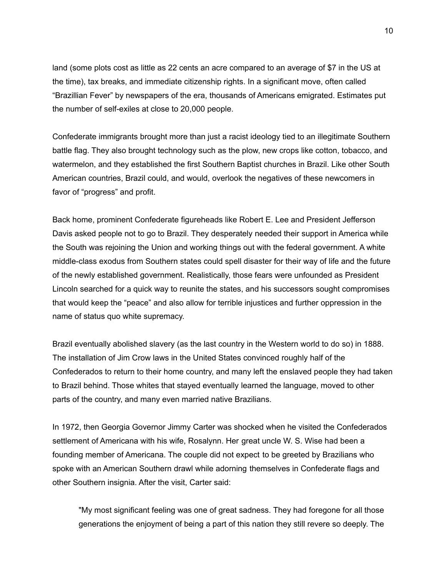land (some plots cost as little as 22 cents an acre compared to an average of \$7 in the US at the time), tax breaks, and immediate citizenship rights. In a significant move, often called "Brazillian Fever" by newspapers of the era, thousands of Americans emigrated. Estimates put the number of self-exiles at close to 20,000 people.

Confederate immigrants brought more than just a racist ideology tied to an illegitimate Southern battle flag. They also brought technology such as the plow, new crops like cotton, tobacco, and watermelon, and they established the first Southern Baptist churches in Brazil. Like other South American countries, Brazil could, and would, overlook the negatives of these newcomers in favor of "progress" and profit.

Back home, prominent Confederate figureheads like Robert E. Lee and President Jefferson Davis asked people not to go to Brazil. They desperately needed their support in America while the South was rejoining the Union and working things out with the federal government. A white middle-class exodus from Southern states could spell disaster for their way of life and the future of the newly established government. Realistically, those fears were unfounded as President Lincoln searched for a quick way to reunite the states, and his successors sought compromises that would keep the "peace" and also allow for terrible injustices and further oppression in the name of status quo white supremacy.

Brazil eventually abolished slavery (as the last country in the Western world to do so) in 1888. The installation of Jim Crow laws in the United States convinced roughly half of the Confederados to return to their home country, and many left the enslaved people they had taken to Brazil behind. Those whites that stayed eventually learned the language, moved to other parts of the country, and many even married native Brazilians.

In 1972, then Georgia Governor Jimmy Carter was shocked when he visited the Confederados settlement of Americana with his wife, Rosalynn. Her great uncle W. S. Wise had been a founding member of Americana. The couple did not expect to be greeted by Brazilians who spoke with an American Southern drawl while adorning themselves in Confederate flags and other Southern insignia. After the visit, Carter said:

"My most significant feeling was one of great sadness. They had foregone for all those generations the enjoyment of being a part of this nation they still revere so deeply. The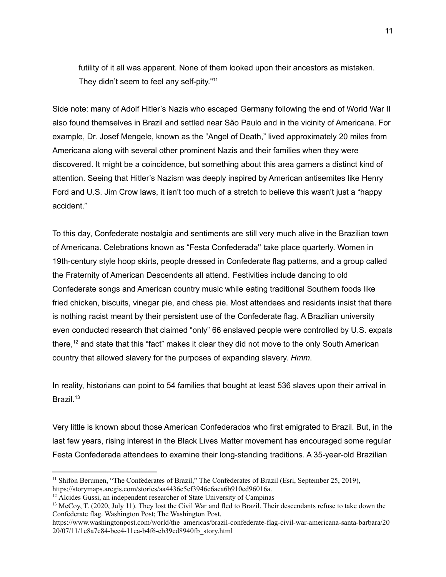futility of it all was apparent. None of them looked upon their ancestors as mistaken. They didn't seem to feel any self-pity."<sup>11</sup>

Side note: many of Adolf Hitler's Nazis who escaped Germany following the end of World War II also found themselves in Brazil and settled near São Paulo and in the vicinity of Americana. For example, Dr. Josef Mengele, known as the "Angel of Death," lived approximately 20 miles from Americana along with several other prominent Nazis and their families when they were discovered. It might be a coincidence, but something about this area garners a distinct kind of attention. Seeing that Hitler's Nazism was deeply inspired by American antisemites like Henry Ford and U.S. Jim Crow laws, it isn't too much of a stretch to believe this wasn't just a "happy accident."

To this day, Confederate nostalgia and sentiments are still very much alive in the Brazilian town of Americana. Celebrations known as "Festa Confederada'' take place quarterly. Women in 19th-century style hoop skirts, people dressed in Confederate flag patterns, and a group called the Fraternity of American Descendents all attend. Festivities include dancing to old Confederate songs and American country music while eating traditional Southern foods like fried chicken, biscuits, vinegar pie, and chess pie. Most attendees and residents insist that there is nothing racist meant by their persistent use of the Confederate flag. A Brazilian university even conducted research that claimed "only" 66 enslaved people were controlled by U.S. expats there,<sup>12</sup> and state that this "fact" makes it clear they did not move to the only South American country that allowed slavery for the purposes of expanding slavery. *Hmm*.

In reality, historians can point to 54 families that bought at least 536 slaves upon their arrival in Brazil.<sup>13</sup>

Very little is known about those American Confederados who first emigrated to Brazil. But, in the last few years, rising interest in the Black Lives Matter movement has encouraged some regular Festa Confederada attendees to examine their long-standing traditions. A 35-year-old Brazilian

<sup>&</sup>lt;sup>11</sup> Shifon Berumen, "The Confederates of Brazil," The Confederates of Brazil (Esri, September 25, 2019), <https://storymaps.arcgis.com/stories/aa4436c5ef3946c6aea6b910ed96016a>.

 $12$  Alcides Gussi, an independent researcher of State University of Campinas

<sup>&</sup>lt;sup>13</sup> McCoy, T. (2020, July 11). They lost the Civil War and fled to Brazil. Their descendants refuse to take down the Confederate flag. Washington Post; The Washington Post.

https://www.washingtonpost.com/world/the\_americas/brazil-confederate-flag-civil-war-americana-santa-barbara/20 20/07/11/1e8a7c84-bec4-11ea-b4f6-cb39cd8940fb\_story.html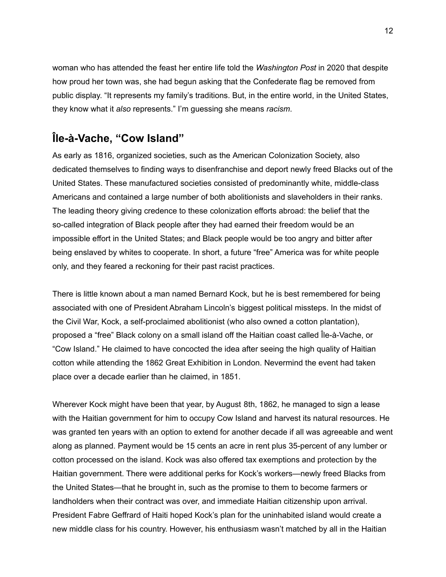woman who has attended the feast her entire life told the *Washington Post* in 2020 that despite how proud her town was, she had begun asking that the Confederate flag be removed from public display. "It represents my family's traditions. But, in the entire world, in the United States, they know what it *also* represents." I'm guessing she means *racism*.

## **Île-à-Vache, "Cow Island"**

As early as 1816, organized societies, such as the American Colonization Society, also dedicated themselves to finding ways to disenfranchise and deport newly freed Blacks out of the United States. These manufactured societies consisted of predominantly white, middle-class Americans and contained a large number of both abolitionists and slaveholders in their ranks. The leading theory giving credence to these colonization efforts abroad: the belief that the so-called integration of Black people after they had earned their freedom would be an impossible effort in the United States; and Black people would be too angry and bitter after being enslaved by whites to cooperate. In short, a future "free" America was for white people only, and they feared a reckoning for their past racist practices.

There is little known about a man named Bernard Kock, but he is best remembered for being associated with one of President Abraham Lincoln's biggest political missteps. In the midst of the Civil War, Kock, a self-proclaimed abolitionist (who also owned a cotton plantation), proposed a "free" Black colony on a small island off the Haitian coast called Île-à-Vache, or "Cow Island." He claimed to have concocted the idea after seeing the high quality of Haitian cotton while attending the 1862 Great Exhibition in London. Nevermind the event had taken place over a decade earlier than he claimed, in 1851.

Wherever Kock might have been that year, by August 8th, 1862, he managed to sign a lease with the Haitian government for him to occupy Cow Island and harvest its natural resources. He was granted ten years with an option to extend for another decade if all was agreeable and went along as planned. Payment would be 15 cents an acre in rent plus 35-percent of any lumber or cotton processed on the island. Kock was also offered tax exemptions and protection by the Haitian government. There were additional perks for Kock's workers—newly freed Blacks from the United States—that he brought in, such as the promise to them to become farmers or landholders when their contract was over, and immediate Haitian citizenship upon arrival. President Fabre Geffrard of Haiti hoped Kock's plan for the uninhabited island would create a new middle class for his country. However, his enthusiasm wasn't matched by all in the Haitian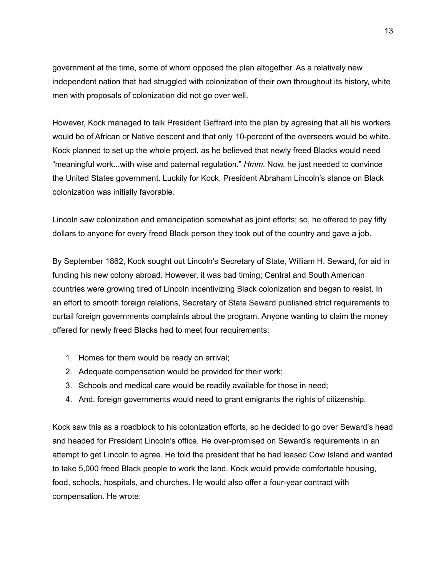government at the time, some of whom opposed the plan altogether. As a relatively new independent nation that had struggled with colonization of their own throughout its history, white men with proposals of colonization did not go over well.

However, Kock managed to talk President Geffrard into the plan by agreeing that all his workers would be of African or Native descent and that only 10-percent of the overseers would be white. Kock planned to set up the whole project, as he believed that newly freed Blacks would need "meaningful work...with wise and paternal regulation." *Hmm*. Now, he just needed to convince the United States government. Luckily for Kock, President Abraham Lincoln's stance on Black colonization was initially favorable.

Lincoln saw colonization and emancipation somewhat as joint efforts; so, he offered to pay fifty dollars to anyone for every freed Black person they took out of the country and gave a job.

By September 1862, Kock sought out Lincoln's Secretary of State, William H. Seward, for aid in funding his new colony abroad. However, it was bad timing; Central and South American countries were growing tired of Lincoln incentivizing Black colonization and began to resist. In an effort to smooth foreign relations, Secretary of State Seward published strict requirements to curtail foreign governments complaints about the program. Anyone wanting to claim the money offered for newly freed Blacks had to meet four requirements:

- 1. Homes for them would be ready on arrival;
- 2. Adequate compensation would be provided for their work;
- 3. Schools and medical care would be readily available for those in need;
- 4. And, foreign governments would need to grant emigrants the rights of citizenship.

Kock saw this as a roadblock to his colonization efforts, so he decided to go over Seward's head and headed for President Lincoln's office. He over-promised on Seward's requirements in an attempt to get Lincoln to agree. He told the president that he had leased Cow Island and wanted to take 5,000 freed Black people to work the land. Kock would provide comfortable housing, food, schools, hospitals, and churches. He would also offer a four-year contract with compensation. He wrote: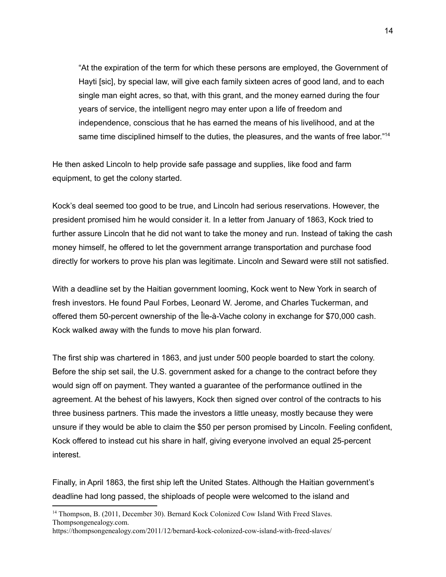"At the expiration of the term for which these persons are employed, the Government of Hayti [sic], by special law, will give each family sixteen acres of good land, and to each single man eight acres, so that, with this grant, and the money earned during the four years of service, the intelligent negro may enter upon a life of freedom and independence, conscious that he has earned the means of his livelihood, and at the same time disciplined himself to the duties, the pleasures, and the wants of free labor."<sup>14</sup>

He then asked Lincoln to help provide safe passage and supplies, like food and farm equipment, to get the colony started.

Kock's deal seemed too good to be true, and Lincoln had serious reservations. However, the president promised him he would consider it. In a letter from January of 1863, Kock tried to further assure Lincoln that he did not want to take the money and run. Instead of taking the cash money himself, he offered to let the government arrange transportation and purchase food directly for workers to prove his plan was legitimate. Lincoln and Seward were still not satisfied.

With a deadline set by the Haitian government looming, Kock went to New York in search of fresh investors. He found Paul Forbes, Leonard W. Jerome, and Charles Tuckerman, and offered them 50-percent ownership of the Île-à-Vache colony in exchange for \$70,000 cash. Kock walked away with the funds to move his plan forward.

The first ship was chartered in 1863, and just under 500 people boarded to start the colony. Before the ship set sail, the U.S. government asked for a change to the contract before they would sign off on payment. They wanted a guarantee of the performance outlined in the agreement. At the behest of his lawyers, Kock then signed over control of the contracts to his three business partners. This made the investors a little uneasy, mostly because they were unsure if they would be able to claim the \$50 per person promised by Lincoln. Feeling confident, Kock offered to instead cut his share in half, giving everyone involved an equal 25-percent interest.

Finally, in April 1863, the first ship left the United States. Although the Haitian government's deadline had long passed, the shiploads of people were welcomed to the island and

<sup>&</sup>lt;sup>14</sup> Thompson, B. (2011, December 30). Bernard Kock Colonized Cow Island With Freed Slaves. Thompsongenealogy.com.

<https://thompsongenealogy.com/2011/12/bernard-kock-colonized-cow-island-with-freed-slaves/>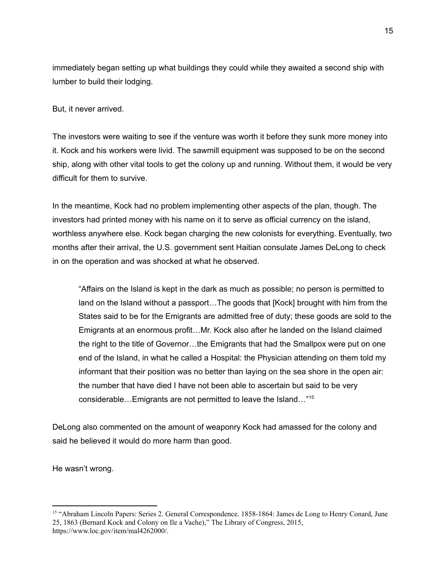immediately began setting up what buildings they could while they awaited a second ship with lumber to build their lodging.

But, it never arrived.

The investors were waiting to see if the venture was worth it before they sunk more money into it. Kock and his workers were livid. The sawmill equipment was supposed to be on the second ship, along with other vital tools to get the colony up and running. Without them, it would be very difficult for them to survive.

In the meantime, Kock had no problem implementing other aspects of the plan, though. The investors had printed money with his name on it to serve as official currency on the island, worthless anywhere else. Kock began charging the new colonists for everything. Eventually, two months after their arrival, the U.S. government sent Haitian consulate James DeLong to check in on the operation and was shocked at what he observed.

"Affairs on the Island is kept in the dark as much as possible; no person is permitted to land on the Island without a passport…The goods that [Kock] brought with him from the States said to be for the Emigrants are admitted free of duty; these goods are sold to the Emigrants at an enormous profit…Mr. Kock also after he landed on the Island claimed the right to the title of Governor…the Emigrants that had the Smallpox were put on one end of the Island, in what he called a Hospital: the Physician attending on them told my informant that their position was no better than laying on the sea shore in the open air: the number that have died I have not been able to ascertain but said to be very considerable…Emigrants are not permitted to leave the Island…" 15

DeLong also commented on the amount of weaponry Kock had amassed for the colony and said he believed it would do more harm than good.

He wasn't wrong.

<sup>15</sup> "Abraham Lincoln Papers: Series 2. General Correspondence. 1858-1864: James de Long to Henry Conard, June 25, 1863 (Bernard Kock and Colony on Ile a Vache)," The Library of Congress, 2015, <https://www.loc.gov/item/mal4262000/>.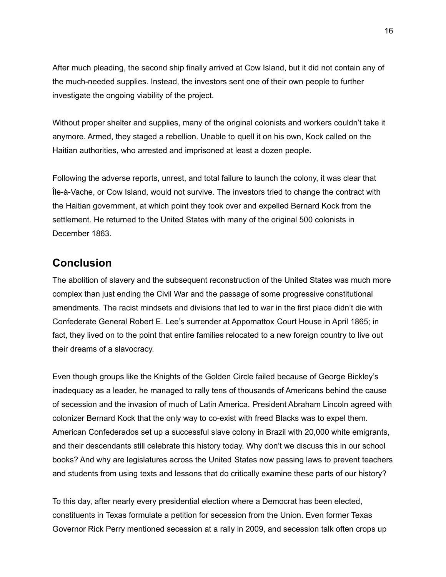After much pleading, the second ship finally arrived at Cow Island, but it did not contain any of the much-needed supplies. Instead, the investors sent one of their own people to further investigate the ongoing viability of the project.

Without proper shelter and supplies, many of the original colonists and workers couldn't take it anymore. Armed, they staged a rebellion. Unable to quell it on his own, Kock called on the Haitian authorities, who arrested and imprisoned at least a dozen people.

Following the adverse reports, unrest, and total failure to launch the colony, it was clear that Île-à-Vache, or Cow Island, would not survive. The investors tried to change the contract with the Haitian government, at which point they took over and expelled Bernard Kock from the settlement. He returned to the United States with many of the original 500 colonists in December 1863.

### **Conclusion**

The abolition of slavery and the subsequent reconstruction of the United States was much more complex than just ending the Civil War and the passage of some progressive constitutional amendments. The racist mindsets and divisions that led to war in the first place didn't die with Confederate General Robert E. Lee's surrender at Appomattox Court House in April 1865; in fact, they lived on to the point that entire families relocated to a new foreign country to live out their dreams of a slavocracy.

Even though groups like the Knights of the Golden Circle failed because of George Bickley's inadequacy as a leader, he managed to rally tens of thousands of Americans behind the cause of secession and the invasion of much of Latin America. President Abraham Lincoln agreed with colonizer Bernard Kock that the only way to co-exist with freed Blacks was to expel them. American Confederados set up a successful slave colony in Brazil with 20,000 white emigrants, and their descendants still celebrate this history today. Why don't we discuss this in our school books? And why are legislatures across the United States now passing laws to prevent teachers and students from using texts and lessons that do critically examine these parts of our history?

To this day, after nearly every presidential election where a Democrat has been elected, constituents in Texas formulate a petition for secession from the Union. Even former Texas Governor Rick Perry mentioned secession at a rally in 2009, and secession talk often crops up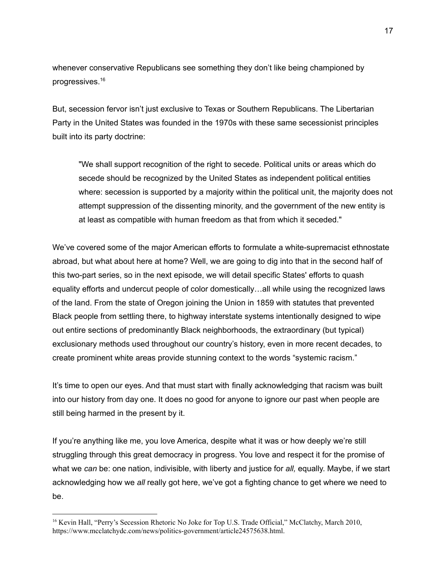whenever conservative Republicans see something they don't like being championed by progressives. 16

But, secession fervor isn't just exclusive to Texas or Southern Republicans. The Libertarian Party in the United States was founded in the 1970s with these same secessionist principles built into its party doctrine:

"We shall support recognition of the right to secede. Political units or areas which do secede should be recognized by the United States as independent political entities where: secession is supported by a majority within the political unit, the majority does not attempt suppression of the dissenting minority, and the government of the new entity is at least as compatible with human freedom as that from which it seceded."

We've covered some of the major American efforts to formulate a white-supremacist ethnostate abroad, but what about here at home? Well, we are going to dig into that in the second half of this two-part series, so in the next episode, we will detail specific States' efforts to quash equality efforts and undercut people of color domestically…all while using the recognized laws of the land. From the state of Oregon joining the Union in 1859 with statutes that prevented Black people from settling there, to highway interstate systems intentionally designed to wipe out entire sections of predominantly Black neighborhoods, the extraordinary (but typical) exclusionary methods used throughout our country's history, even in more recent decades, to create prominent white areas provide stunning context to the words "systemic racism."

It's time to open our eyes. And that must start with finally acknowledging that racism was built into our history from day one. It does no good for anyone to ignore our past when people are still being harmed in the present by it.

If you're anything like me, you love America, despite what it was or how deeply we're still struggling through this great democracy in progress. You love and respect it for the promise of what we *can* be: one nation, indivisible, with liberty and justice for *all,* equally. Maybe, if we start acknowledging how we *all* really got here, we've got a fighting chance to get where we need to be.

<sup>&</sup>lt;sup>16</sup> Kevin Hall, "Perry's Secession Rhetoric No Joke for Top U.S. Trade Official," McClatchy, March 2010, [https://www.mcclatchydc.com/news/politics-government/article24575638.html.](https://www.mcclatchydc.com/news/politics-government/article24575638.html)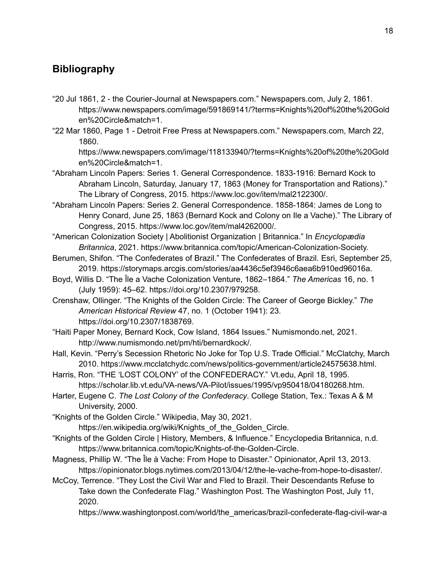## **Bibliography**

- "20 Jul 1861, 2 the Courier-Journal at Newspapers.com." Newspapers.com, July 2, 1861. https://www.newspapers.com/image/591869141/?terms=Knights%20of%20the%20Gold en%20Circle&match=1.
- "22 Mar 1860, Page 1 Detroit Free Press at Newspapers.com." Newspapers.com, March 22, 1860.

https://www.newspapers.com/image/118133940/?terms=Knights%20of%20the%20Gold en%20Circle&match=1.

- "Abraham Lincoln Papers: Series 1. General Correspondence. 1833-1916: Bernard Kock to Abraham Lincoln, Saturday, January 17, 1863 (Money for Transportation and Rations)." The Library of Congress, 2015. https://www.loc.gov/item/mal2122300/.
- "Abraham Lincoln Papers: Series 2. General Correspondence. 1858-1864: James de Long to Henry Conard, June 25, 1863 (Bernard Kock and Colony on Ile a Vache)." The Library of Congress, 2015. https://www.loc.gov/item/mal4262000/.
- "American Colonization Society | Abolitionist Organization | Britannica." In *Encyclopædia Britannica*, 2021. https://www.britannica.com/topic/American-Colonization-Society.
- Berumen, Shifon. "The Confederates of Brazil." The Confederates of Brazil. Esri, September 25, 2019. https://storymaps.arcgis.com/stories/aa4436c5ef3946c6aea6b910ed96016a.
- Boyd, Willis D. "The Ȋle a Vache Colonization Venture, 1862–1864." *The Americas* 16, no. 1 (July 1959): 45–62. https://doi.org/10.2307/979258.
- Crenshaw, Ollinger. "The Knights of the Golden Circle: The Career of George Bickley." *The American Historical Review* 47, no. 1 (October 1941): 23. https://doi.org/10.2307/1838769.
- "Haiti Paper Money, Bernard Kock, Cow Island, 1864 Issues." Numismondo.net, 2021. http://www.numismondo.net/pm/hti/bernardkock/.
- Hall, Kevin. "Perry's Secession Rhetoric No Joke for Top U.S. Trade Official." McClatchy, March 2010. https://www.mcclatchydc.com/news/politics-government/article24575638.html.
- Harris, Ron. "THE 'LOST COLONY' of the CONFEDERACY." Vt.edu, April 18, 1995. https://scholar.lib.vt.edu/VA-news/VA-Pilot/issues/1995/vp950418/04180268.htm.
- Harter, Eugene C. *The Lost Colony of the Confederacy*. College Station, Tex.: Texas A & M University, 2000.
- "Knights of the Golden Circle." Wikipedia, May 30, 2021.

https://en.wikipedia.org/wiki/Knights\_of\_the\_Golden\_Circle.

- "Knights of the Golden Circle | History, Members, & Influence." Encyclopedia Britannica, n.d. https://www.britannica.com/topic/Knights-of-the-Golden-Circle.
- Magness, Phillip W. "The Île à Vache: From Hope to Disaster." Opinionator, April 13, 2013. https://opinionator.blogs.nytimes.com/2013/04/12/the-le-vache-from-hope-to-disaster/.
- McCoy, Terrence. "They Lost the Civil War and Fled to Brazil. Their Descendants Refuse to Take down the Confederate Flag." Washington Post. The Washington Post, July 11, 2020.

https://www.washingtonpost.com/world/the\_americas/brazil-confederate-flag-civil-war-a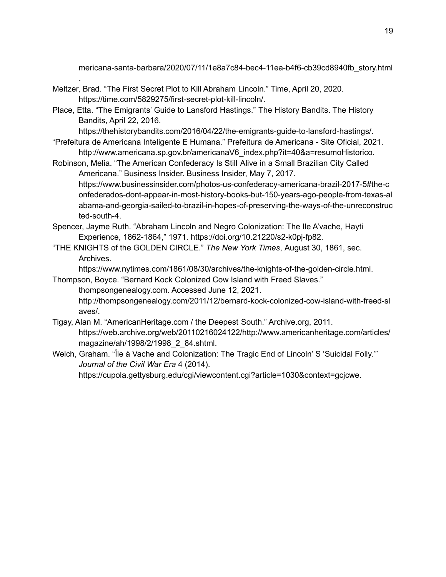mericana-santa-barbara/2020/07/11/1e8a7c84-bec4-11ea-b4f6-cb39cd8940fb\_story.html

Meltzer, Brad. "The First Secret Plot to Kill Abraham Lincoln." Time, April 20, 2020. https://time.com/5829275/first-secret-plot-kill-lincoln/.

.

Place, Etta. "The Emigrants' Guide to Lansford Hastings." The History Bandits. The History Bandits, April 22, 2016.

https://thehistorybandits.com/2016/04/22/the-emigrants-guide-to-lansford-hastings/.

"Prefeitura de Americana Inteligente E Humana." Prefeitura de Americana - Site Oficial, 2021. http://www.americana.sp.gov.br/americanaV6\_index.php?it=40&a=resumoHistorico.

Robinson, Melia. "The American Confederacy Is Still Alive in a Small Brazilian City Called Americana." Business Insider. Business Insider, May 7, 2017. https://www.businessinsider.com/photos-us-confederacy-americana-brazil-2017-5#the-c onfederados-dont-appear-in-most-history-books-but-150-years-ago-people-from-texas-al abama-and-georgia-sailed-to-brazil-in-hopes-of-preserving-the-ways-of-the-unreconstruc ted-south-4.

- Spencer, Jayme Ruth. "Abraham Lincoln and Negro Colonization: The Ile A'vache, Hayti Experience, 1862-1864," 1971. https://doi.org/10.21220/s2-k0pj-fp82.
- "THE KNIGHTS of the GOLDEN CIRCLE." *The New York Times*, August 30, 1861, sec. Archives.

https://www.nytimes.com/1861/08/30/archives/the-knights-of-the-golden-circle.html.

Thompson, Boyce. "Bernard Kock Colonized Cow Island with Freed Slaves." thompsongenealogy.com. Accessed June 12, 2021. http://thompsongenealogy.com/2011/12/bernard-kock-colonized-cow-island-with-freed-sl aves/.

- Tigay, Alan M. "AmericanHeritage.com / the Deepest South." Archive.org, 2011. https://web.archive.org/web/20110216024122/http://www.americanheritage.com/articles/ magazine/ah/1998/2/1998\_2\_84.shtml.
- Welch, Graham. "Île à Vache and Colonization: The Tragic End of Lincoln' S 'Suicidal Folly.'" *Journal of the Civil War Era* 4 (2014). https://cupola.gettysburg.edu/cgi/viewcontent.cgi?article=1030&context=gcjcwe.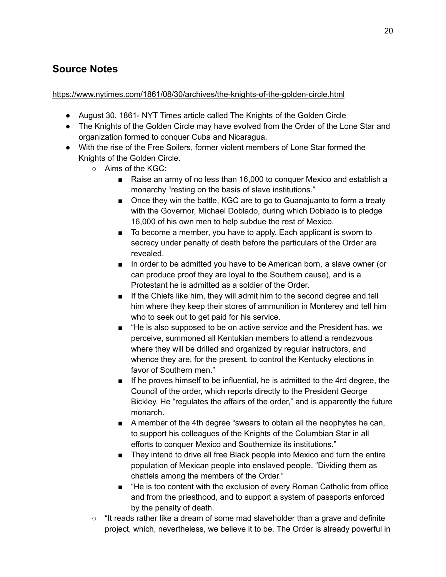## **Source Notes**

#### <https://www.nytimes.com/1861/08/30/archives/the-knights-of-the-golden-circle.html>

- August 30, 1861- NYT Times article called The Knights of the Golden Circle
- The Knights of the Golden Circle may have evolved from the Order of the Lone Star and organization formed to conquer Cuba and Nicaragua.
- With the rise of the Free Soilers, former violent members of Lone Star formed the Knights of the Golden Circle.
	- Aims of the KGC:
		- Raise an army of no less than 16,000 to conquer Mexico and establish a monarchy "resting on the basis of slave institutions."
		- Once they win the battle, KGC are to go to Guanajuanto to form a treaty with the Governor, Michael Doblado, during which Doblado is to pledge 16,000 of his own men to help subdue the rest of Mexico.
		- To become a member, you have to apply. Each applicant is sworn to secrecy under penalty of death before the particulars of the Order are revealed.
		- In order to be admitted you have to be American born, a slave owner (or can produce proof they are loyal to the Southern cause), and is a Protestant he is admitted as a soldier of the Order.
		- If the Chiefs like him, they will admit him to the second degree and tell him where they keep their stores of ammunition in Monterey and tell him who to seek out to get paid for his service.
		- "He is also supposed to be on active service and the President has, we perceive, summoned all Kentukian members to attend a rendezvous where they will be drilled and organized by regular instructors, and whence they are, for the present, to control the Kentucky elections in favor of Southern men."
		- If he proves himself to be influential, he is admitted to the 4rd degree, the Council of the order, which reports directly to the President George Bickley. He "regulates the affairs of the order," and is apparently the future monarch.
		- A member of the 4th degree "swears to obtain all the neophytes he can, to support his colleagues of the Knights of the Columbian Star in all efforts to conquer Mexico and Southernize its institutions."
		- They intend to drive all free Black people into Mexico and turn the entire population of Mexican people into enslaved people. "Dividing them as chattels among the members of the Order."
		- "He is too content with the exclusion of every Roman Catholic from office and from the priesthood, and to support a system of passports enforced by the penalty of death.
	- $\circ$  "It reads rather like a dream of some mad slaveholder than a grave and definite project, which, nevertheless, we believe it to be. The Order is already powerful in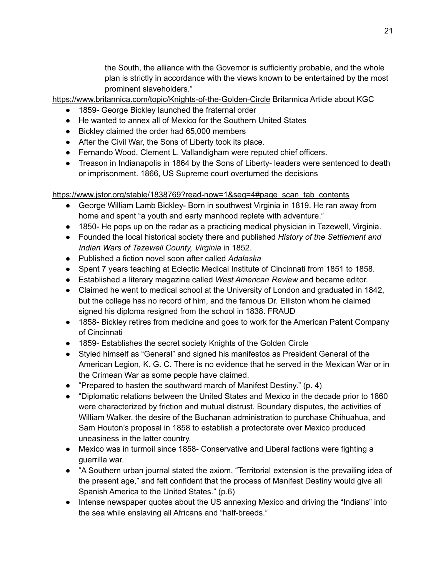the South, the alliance with the Governor is sufficiently probable, and the whole plan is strictly in accordance with the views known to be entertained by the most prominent slaveholders."

<https://www.britannica.com/topic/Knights-of-the-Golden-Circle> Britannica Article about KGC

- 1859- George Bickley launched the fraternal order
- He wanted to annex all of Mexico for the Southern United States
- Bickley claimed the order had 65,000 members
- After the Civil War, the Sons of Liberty took its place.
- Fernando Wood, Clement L. Vallandigham were reputed chief officers.
- Treason in Indianapolis in 1864 by the Sons of Liberty- leaders were sentenced to death or imprisonment. 1866, US Supreme court overturned the decisions

[https://www.jstor.org/stable/1838769?read-now=1&seq=4#page\\_scan\\_tab\\_contents](https://www.jstor.org/stable/1838769?read-now=1&seq=4#page_scan_tab_contents)

- George William Lamb Bickley- Born in southwest Virginia in 1819. He ran away from home and spent "a youth and early manhood replete with adventure."
- 1850- He pops up on the radar as a practicing medical physician in Tazewell, Virginia.
- Founded the local historical society there and published *History of the Settlement and Indian Wars of Tazewell County, Virginia* in 1852.
- Published a fiction novel soon after called *Adalaska*
- Spent 7 years teaching at Eclectic Medical Institute of Cincinnati from 1851 to 1858.
- Established a literary magazine called *West American Review* and became editor.
- Claimed he went to medical school at the University of London and graduated in 1842, but the college has no record of him, and the famous Dr. Elliston whom he claimed signed his diploma resigned from the school in 1838. FRAUD
- 1858- Bickley retires from medicine and goes to work for the American Patent Company of Cincinnati
- 1859- Establishes the secret society Knights of the Golden Circle
- Styled himself as "General" and signed his manifestos as President General of the American Legion, K. G. C. There is no evidence that he served in the Mexican War or in the Crimean War as some people have claimed.
- "Prepared to hasten the southward march of Manifest Destiny." (p. 4)
- "Diplomatic relations between the United States and Mexico in the decade prior to 1860 were characterized by friction and mutual distrust. Boundary disputes, the activities of William Walker, the desire of the Buchanan administration to purchase Chihuahua, and Sam Houton's proposal in 1858 to establish a protectorate over Mexico produced uneasiness in the latter country.
- Mexico was in turmoil since 1858- Conservative and Liberal factions were fighting a guerrilla war.
- "A Southern urban journal stated the axiom, "Territorial extension is the prevailing idea of the present age," and felt confident that the process of Manifest Destiny would give all Spanish America to the United States." (p.6)
- Intense newspaper quotes about the US annexing Mexico and driving the "Indians" into the sea while enslaving all Africans and "half-breeds."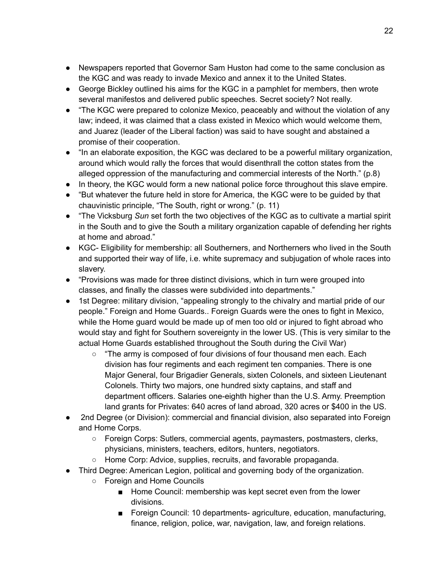- Newspapers reported that Governor Sam Huston had come to the same conclusion as the KGC and was ready to invade Mexico and annex it to the United States.
- George Bickley outlined his aims for the KGC in a pamphlet for members, then wrote several manifestos and delivered public speeches. Secret society? Not really.
- "The KGC were prepared to colonize Mexico, peaceably and without the violation of any law; indeed, it was claimed that a class existed in Mexico which would welcome them, and Juarez (leader of the Liberal faction) was said to have sought and abstained a promise of their cooperation.
- "In an elaborate exposition, the KGC was declared to be a powerful military organization, around which would rally the forces that would disenthrall the cotton states from the alleged oppression of the manufacturing and commercial interests of the North." (p.8)
- In theory, the KGC would form a new national police force throughout this slave empire.
- "But whatever the future held in store for America, the KGC were to be guided by that chauvinistic principle, "The South, right or wrong." (p. 11)
- "The Vicksburg *Sun* set forth the two objectives of the KGC as to cultivate a martial spirit in the South and to give the South a military organization capable of defending her rights at home and abroad."
- KGC- Eligibility for membership: all Southerners, and Northerners who lived in the South and supported their way of life, i.e. white supremacy and subjugation of whole races into slavery.
- "Provisions was made for three distinct divisions, which in turn were grouped into classes, and finally the classes were subdivided into departments."
- 1st Degree: military division, "appealing strongly to the chivalry and martial pride of our people." Foreign and Home Guards.. Foreign Guards were the ones to fight in Mexico, while the Home guard would be made up of men too old or injured to fight abroad who would stay and fight for Southern sovereignty in the lower US. (This is very similar to the actual Home Guards established throughout the South during the Civil War)
	- $\circ$  "The army is composed of four divisions of four thousand men each. Each division has four regiments and each regiment ten companies. There is one Major General, four Brigadier Generals, sixten Colonels, and sixteen Lieutenant Colonels. Thirty two majors, one hundred sixty captains, and staff and department officers. Salaries one-eighth higher than the U.S. Army. Preemption land grants for Privates: 640 acres of land abroad, 320 acres or \$400 in the US.
- 2nd Degree (or Division): commercial and financial division, also separated into Foreign and Home Corps.
	- Foreign Corps: Sutlers, commercial agents, paymasters, postmasters, clerks, physicians, ministers, teachers, editors, hunters, negotiators.
	- Home Corp: Advice, supplies, recruits, and favorable propaganda.
- Third Degree: American Legion, political and governing body of the organization.
	- Foreign and Home Councils
		- Home Council: membership was kept secret even from the lower divisions.
		- Foreign Council: 10 departments- agriculture, education, manufacturing, finance, religion, police, war, navigation, law, and foreign relations.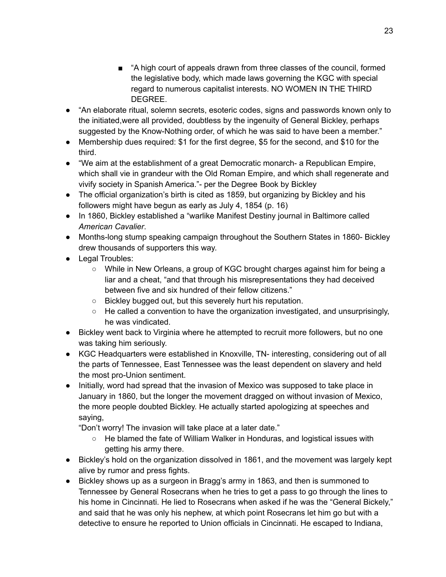- "A high court of appeals drawn from three classes of the council, formed the legislative body, which made laws governing the KGC with special regard to numerous capitalist interests. NO WOMEN IN THE THIRD DEGREE.
- "An elaborate ritual, solemn secrets, esoteric codes, signs and passwords known only to the initiated,were all provided, doubtless by the ingenuity of General Bickley, perhaps suggested by the Know-Nothing order, of which he was said to have been a member."
- Membership dues required: \$1 for the first degree, \$5 for the second, and \$10 for the third.
- "We aim at the establishment of a great Democratic monarch- a Republican Empire, which shall vie in grandeur with the Old Roman Empire, and which shall regenerate and vivify society in Spanish America."- per the Degree Book by Bickley
- The official organization's birth is cited as 1859, but organizing by Bickley and his followers might have begun as early as July 4, 1854 (p. 16)
- In 1860, Bickley established a "warlike Manifest Destiny journal in Baltimore called *American Cavalier*.
- Months-long stump speaking campaign throughout the Southern States in 1860- Bickley drew thousands of supporters this way.
- Legal Troubles:
	- While in New Orleans, a group of KGC brought charges against him for being a liar and a cheat, "and that through his misrepresentations they had deceived between five and six hundred of their fellow citizens."
	- Bickley bugged out, but this severely hurt his reputation.
	- $\circ$  He called a convention to have the organization investigated, and unsurprisingly, he was vindicated.
- Bickley went back to Virginia where he attempted to recruit more followers, but no one was taking him seriously.
- KGC Headquarters were established in Knoxville, TN- interesting, considering out of all the parts of Tennessee, East Tennessee was the least dependent on slavery and held the most pro-Union sentiment.
- Initially, word had spread that the invasion of Mexico was supposed to take place in January in 1860, but the longer the movement dragged on without invasion of Mexico, the more people doubted Bickley. He actually started apologizing at speeches and saying,

"Don't worry! The invasion will take place at a later date."

- He blamed the fate of William Walker in Honduras, and logistical issues with getting his army there.
- Bickley's hold on the organization dissolved in 1861, and the movement was largely kept alive by rumor and press fights.
- Bickley shows up as a surgeon in Bragg's army in 1863, and then is summoned to Tennessee by General Rosecrans when he tries to get a pass to go through the lines to his home in Cincinnati. He lied to Rosecrans when asked if he was the "General Bickely," and said that he was only his nephew, at which point Rosecrans let him go but with a detective to ensure he reported to Union officials in Cincinnati. He escaped to Indiana,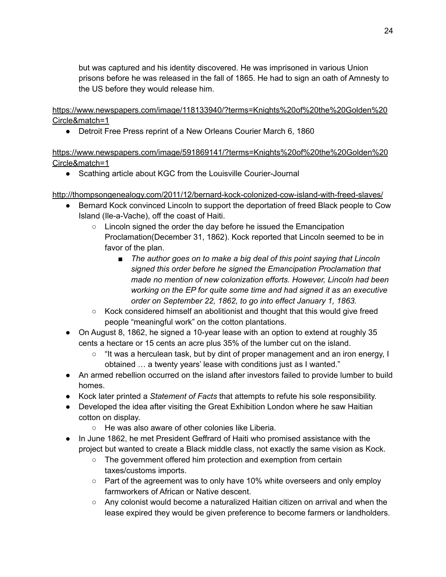but was captured and his identity discovered. He was imprisoned in various Union prisons before he was released in the fall of 1865. He had to sign an oath of Amnesty to the US before they would release him.

[https://www.newspapers.com/image/118133940/?terms=Knights%20of%20the%20Golden%20](https://www.newspapers.com/image/118133940/?terms=Knights%20of%20the%20Golden%20Circle&match=1) [Circle&match=1](https://www.newspapers.com/image/118133940/?terms=Knights%20of%20the%20Golden%20Circle&match=1)

● Detroit Free Press reprint of a New Orleans Courier March 6, 1860

[https://www.newspapers.com/image/591869141/?terms=Knights%20of%20the%20Golden%20](https://www.newspapers.com/image/591869141/?terms=Knights%20of%20the%20Golden%20Circle&match=1) [Circle&match=1](https://www.newspapers.com/image/591869141/?terms=Knights%20of%20the%20Golden%20Circle&match=1)

● Scathing article about KGC from the Louisville Courier-Journal

<http://thompsongenealogy.com/2011/12/bernard-kock-colonized-cow-island-with-freed-slaves/>

- Bernard Kock convinced Lincoln to support the deportation of freed Black people to Cow Island (Ile-a-Vache), off the coast of Haiti.
	- Lincoln signed the order the day before he issued the Emancipation Proclamation(December 31, 1862). Kock reported that Lincoln seemed to be in favor of the plan.
		- *■ The author goes on to make a big deal of this point saying that Lincoln signed this order before he signed the Emancipation Proclamation that made no mention of new colonization efforts. However, Lincoln had been working on the EP for quite some time and had signed it as an executive order on September 22, 1862, to go into effect January 1, 1863.*
	- Kock considered himself an abolitionist and thought that this would give freed people "meaningful work" on the cotton plantations.
- On August 8, 1862, he signed a 10-year lease with an option to extend at roughly 35 cents a hectare or 15 cents an acre plus 35% of the lumber cut on the island.
	- "It was a herculean task, but by dint of proper management and an iron energy, I obtained … a twenty years' lease with conditions just as I wanted."
- An armed rebellion occurred on the island after investors failed to provide lumber to build homes.
- Kock later printed a *Statement of Facts* that attempts to refute his sole responsibility.
- Developed the idea after visiting the Great Exhibition London where he saw Haitian cotton on display.
	- He was also aware of other colonies like Liberia.
- In June 1862, he met President Geffrard of Haiti who promised assistance with the project but wanted to create a Black middle class, not exactly the same vision as Kock.
	- The government offered him protection and exemption from certain taxes/customs imports.
	- Part of the agreement was to only have 10% white overseers and only employ farmworkers of African or Native descent.
	- Any colonist would become a naturalized Haitian citizen on arrival and when the lease expired they would be given preference to become farmers or landholders.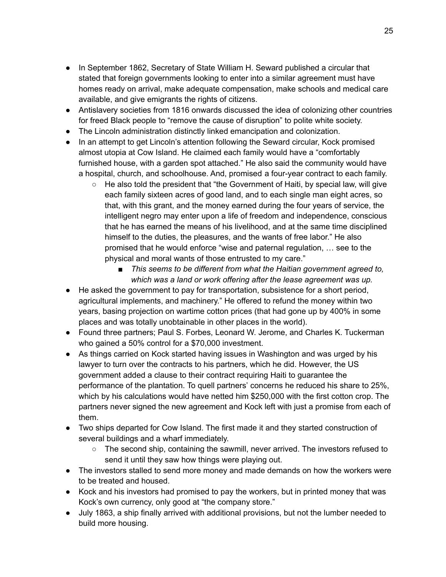- In September 1862, Secretary of State William H. Seward published a circular that stated that foreign governments looking to enter into a similar agreement must have homes ready on arrival, make adequate compensation, make schools and medical care available, and give emigrants the rights of citizens.
- Antislavery societies from 1816 onwards discussed the idea of colonizing other countries for freed Black people to "remove the cause of disruption" to polite white society.
- The Lincoln administration distinctly linked emancipation and colonization.
- In an attempt to get Lincoln's attention following the Seward circular, Kock promised almost utopia at Cow Island. He claimed each family would have a "comfortably furnished house, with a garden spot attached." He also said the community would have a hospital, church, and schoolhouse. And, promised a four-year contract to each family.
	- He also told the president that "the Government of Haiti, by special law, will give each family sixteen acres of good land, and to each single man eight acres, so that, with this grant, and the money earned during the four years of service, the intelligent negro may enter upon a life of freedom and independence, conscious that he has earned the means of his livelihood, and at the same time disciplined himself to the duties, the pleasures, and the wants of free labor." He also promised that he would enforce "wise and paternal regulation, … see to the physical and moral wants of those entrusted to my care."
		- *■ This seems to be different from what the Haitian government agreed to, which was a land or work offering after the lease agreement was up.*
- He asked the government to pay for transportation, subsistence for a short period, agricultural implements, and machinery." He offered to refund the money within two years, basing projection on wartime cotton prices (that had gone up by 400% in some places and was totally unobtainable in other places in the world).
- Found three partners; Paul S. Forbes, Leonard W. Jerome, and Charles K. Tuckerman who gained a 50% control for a \$70,000 investment.
- As things carried on Kock started having issues in Washington and was urged by his lawyer to turn over the contracts to his partners, which he did. However, the US government added a clause to their contract requiring Haiti to guarantee the performance of the plantation. To quell partners' concerns he reduced his share to 25%, which by his calculations would have netted him \$250,000 with the first cotton crop. The partners never signed the new agreement and Kock left with just a promise from each of them.
- Two ships departed for Cow Island. The first made it and they started construction of several buildings and a wharf immediately.
	- $\circ$  The second ship, containing the sawmill, never arrived. The investors refused to send it until they saw how things were playing out.
- The investors stalled to send more money and made demands on how the workers were to be treated and housed.
- Kock and his investors had promised to pay the workers, but in printed money that was Kock's own currency, only good at "the company store."
- July 1863, a ship finally arrived with additional provisions, but not the lumber needed to build more housing.